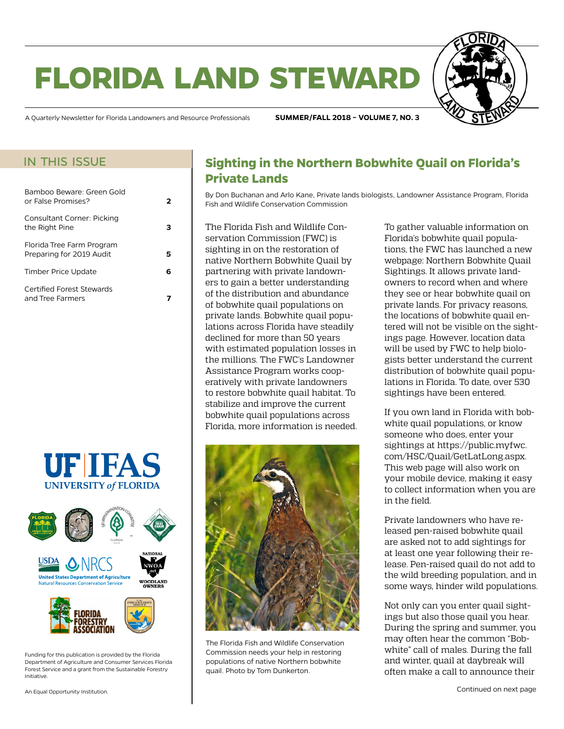# **florida land steward**



A Quarterly Newsletter for Florida Landowners and Resource Professionals **SUMMER/FALL 2018 – VOLUME 7, NO. 3**

### in this issue

| Bamboo Beware: Green Gold<br>or False Promises?       | 2  |
|-------------------------------------------------------|----|
| Consultant Corner: Picking<br>the Right Pine          |    |
| Florida Tree Farm Program<br>Preparing for 2019 Audit |    |
| Timber Price Update                                   | r. |
| Certified Forest Stewards<br>and Tree Farmers         |    |





Funding for this publication is provided by the Florida Department of Agriculture and Consumer Services Florida Forest Service and a grant from the Sustainable Forestry Initiative.

# **Sighting in the Northern Bobwhite Quail on Florida's Private Lands**

By Don Buchanan and Arlo Kane, Private lands biologists, Landowner Assistance Program, Florida Fish and Wildlife Conservation Commission

The Florida Fish and Wildlife Conservation Commission (FWC) is sighting in on the restoration of native Northern Bobwhite Quail by partnering with private landowners to gain a better understanding of the distribution and abundance of bobwhite quail populations on private lands. Bobwhite quail populations across Florida have steadily declined for more than 50 years with estimated population losses in the millions. The FWC's Landowner Assistance Program works cooperatively with private landowners to restore bobwhite quail habitat. To stabilize and improve the current bobwhite quail populations across Florida, more information is needed.



The Florida Fish and Wildlife Conservation Commission needs your help in restoring populations of native Northern bobwhite quail. Photo by Tom Dunkerton.

To gather valuable information on Florida's bobwhite quail populations, the FWC has launched a new webpage: Northern Bobwhite Quail Sightings. It allows private landowners to record when and where they see or hear bobwhite quail on private lands. For privacy reasons, the locations of bobwhite quail entered will not be visible on the sightings page. However, location data will be used by FWC to help biologists better understand the current distribution of bobwhite quail populations in Florida. To date, over 530 sightings have been entered.

If you own land in Florida with bobwhite quail populations, or know someone who does, enter your sightings at [https://public.myfwc.](https://public.myfwc.com/HSC/Quail/GetLatLong.aspx) [com/HSC/Quail/GetLatLong.aspx](https://public.myfwc.com/HSC/Quail/GetLatLong.aspx). This web page will also work on your mobile device, making it easy to collect information when you are in the field.

Private landowners who have released pen-raised bobwhite quail are asked not to add sightings for at least one year following their release. Pen-raised quail do not add to the wild breeding population, and in some ways, hinder wild populations.

Not only can you enter quail sightings but also those quail you hear. During the spring and summer, you may often hear the common "Bobwhite" call of males. During the fall and winter, quail at daybreak will often make a call to announce their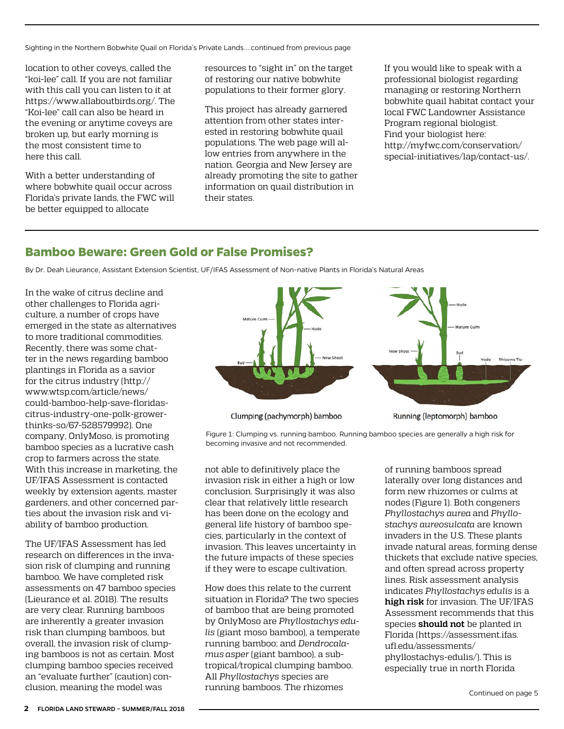<span id="page-1-0"></span>Sighting in the Northern Bobwhite Quail on Florida's Private Lands....continued from previous page

location to other coveys, called the "koi-lee" call. If you are not familiar with this call you can listen to it at <https://www.allaboutbirds.org/>. The "Koi-lee" call can also be heard in the evening or anytime coveys are broken up, but early morning is the most consistent time to here this call.

With a better understanding of where bobwhite quail occur across Florida's private lands, the FWC will be better equipped to allocate

resources to "sight in" on the target of restoring our native bobwhite populations to their former glory.

This project has already garnered attention from other states interested in restoring bobwhite quail populations. The web page will allow entries from anywhere in the nation. Georgia and New Jersey are already promoting the site to gather information on quail distribution in their states.

If you would like to speak with a professional biologist regarding managing or restoring Northern bobwhite quail habitat contact your local FWC Landowner Assistance Program regional biologist. Find your biologist here: [http://myfwc.com/conservation/](http://myfwc.com/conservation/special-initiatives/lap/contact-us/) [special-initiatives/lap/contact-us/.](http://myfwc.com/conservation/special-initiatives/lap/contact-us/)

## **Bamboo Beware: Green Gold or False Promises?**

By Dr. Deah Lieurance, Assistant Extension Scientist, UF/IFAS Assessment of Non-native Plants in Florida's Natural Areas

In the wake of citrus decline and other challenges to Florida agriculture, a number of crops have emerged in the state as alternatives to more traditional commodities. Recently, there was some chatter in the news regarding bamboo plantings in Florida as a savior for the citrus industry (http:// www.wtsp.com/article/news/ could-bamboo-help-save-floridascitrus-industry-one-polk-growerthinks-so/67-528579992). One company, OnlyMoso, is promoting bamboo species as a lucrative cash crop to farmers across the state. With this increase in marketing, the UF/IFAS Assessment is contacted weekly by extension agents, master gardeners, and other concerned parties about the invasion risk and viability of bamboo production.

The UF/IFAS Assessment has led research on differences in the invasion risk of clumping and running bamboo. We have completed risk assessments on 47 bamboo species (Lieurance et al. 2018). The results are very clear. Running bamboos are inherently a greater invasion risk than clumping bamboos, but overall, the invasion risk of clumping bamboos is not as certain. Most clumping bamboo species received an "evaluate further" (caution) conclusion, meaning the model was



Clumping (pachymorph) bamboo

Running (leptomorph) bamboo

Figure 1: Clumping vs. running bamboo. Running bamboo species are generally a high risk for becoming invasive and not recommended.

not able to definitively place the invasion risk in either a high or low conclusion. Surprisingly it was also clear that relatively little research has been done on the ecology and general life history of bamboo species, particularly in the context of invasion. This leaves uncertainty in the future impacts of these species if they were to escape cultivation.

How does this relate to the current situation in Florida? The two species of bamboo that are being promoted by OnlyMoso are *Phyllostachys edulis* (giant moso bamboo), a temperate running bamboo; and *Dendrocalamus asper* (giant bamboo), a subtropical/tropical clumping bamboo. All *Phyllostachys* species are running bamboos. The rhizomes

of running bamboos spread laterally over long distances and form new rhizomes or culms at nodes (Figure 1). Both congeners *Phyllostachys aurea* and *Phyllostachys aureosulcata* are known invaders in the U.S. These plants invade natural areas, forming dense thickets that exclude native species, and often spread across property lines. Risk assessment analysis indicates *Phyllostachys edulis* is a **high risk** for invasion. The UF/IFAS Assessment recommends that this species **should not** be planted in Florida (https://assessment.ifas. ufl.edu/assessments/ phyllostachys-edulis/). This is especially true in north Florida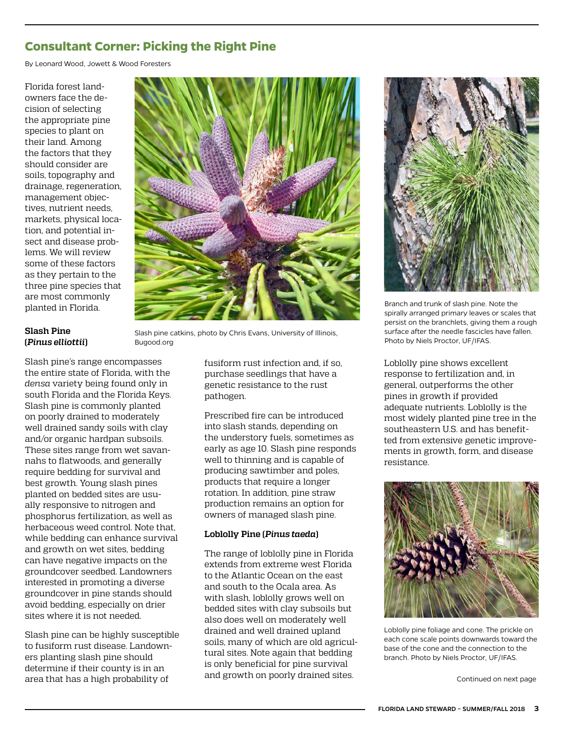# <span id="page-2-0"></span>**Consultant Corner: Picking the Right Pine**

By Leonard Wood, Jowett & Wood Foresters

Florida forest landowners face the decision of selecting the appropriate pine species to plant on their land. Among the factors that they should consider are soils, topography and drainage, regeneration, management objectives, nutrient needs, markets, physical location, and potential insect and disease problems. We will review some of these factors as they pertain to the three pine species that are most commonly planted in Florida.



#### **Slash Pine (***Pinus elliottii***)**

Slash pine's range encompasses the entire state of Florida, with the *densa* variety being found only in south Florida and the Florida Keys. Slash pine is commonly planted on poorly drained to moderately well drained sandy soils with clay and/or organic hardpan subsoils. These sites range from wet savannahs to flatwoods, and generally require bedding for survival and best growth. Young slash pines planted on bedded sites are usually responsive to nitrogen and phosphorus fertilization, as well as herbaceous weed control. Note that, while bedding can enhance survival and growth on wet sites, bedding can have negative impacts on the groundcover seedbed. Landowners interested in promoting a diverse groundcover in pine stands should avoid bedding, especially on drier sites where it is not needed.

Slash pine can be highly susceptible to fusiform rust disease. Landowners planting slash pine should determine if their county is in an area that has a high probability of

Slash pine catkins, photo by Chris Evans, University of Illinois, Bugood.org

fusiform rust infection and, if so, purchase seedlings that have a genetic resistance to the rust pathogen.

Prescribed fire can be introduced into slash stands, depending on the understory fuels, sometimes as early as age 10. Slash pine responds well to thinning and is capable of producing sawtimber and poles, products that require a longer rotation. In addition, pine straw production remains an option for owners of managed slash pine.

#### **Loblolly Pine (***Pinus taeda***)**

The range of loblolly pine in Florida extends from extreme west Florida to the Atlantic Ocean on the east and south to the Ocala area. As with slash, loblolly grows well on bedded sites with clay subsoils but also does well on moderately well drained and well drained upland soils, many of which are old agricultural sites. Note again that bedding is only beneficial for pine survival and growth on poorly drained sites.



Branch and trunk of slash pine. Note the spirally arranged primary leaves or scales that persist on the branchlets, giving them a rough surface after the needle fascicles have fallen. Photo by Niels Proctor, UF/IFAS.

Loblolly pine shows excellent response to fertilization and, in general, outperforms the other pines in growth if provided adequate nutrients. Loblolly is the most widely planted pine tree in the southeastern U.S. and has benefitted from extensive genetic improvements in growth, form, and disease resistance.



Loblolly pine foliage and cone. The prickle on each cone scale points downwards toward the base of the cone and the connection to the branch. Photo by Niels Proctor, UF/IFAS.

Continued on next page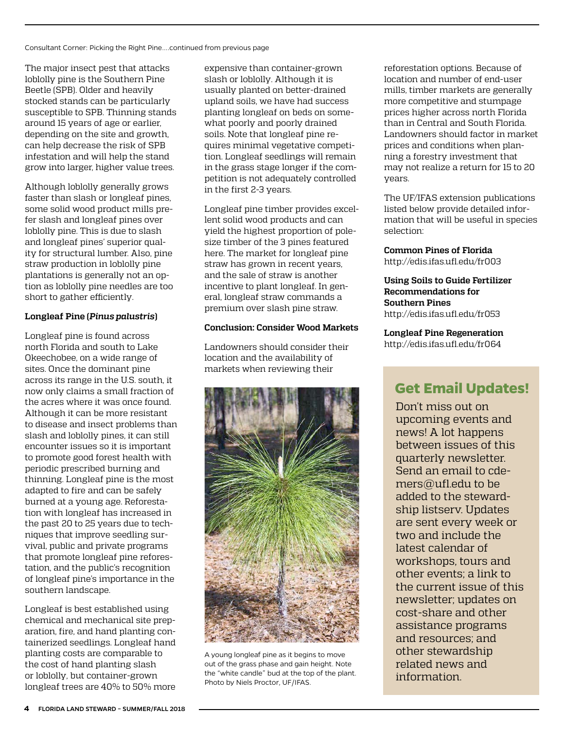Consultant Corner: Picking the Right Pine....continued from previous page

The major insect pest that attacks loblolly pine is the Southern Pine Beetle (SPB). Older and heavily stocked stands can be particularly susceptible to SPB. Thinning stands around 15 years of age or earlier, depending on the site and growth, can help decrease the risk of SPB infestation and will help the stand grow into larger, higher value trees.

Although loblolly generally grows faster than slash or longleaf pines, some solid wood product mills prefer slash and longleaf pines over loblolly pine. This is due to slash and longleaf pines' superior quality for structural lumber. Also, pine straw production in loblolly pine plantations is generally not an option as loblolly pine needles are too short to gather efficiently.

#### **Longleaf Pine (***Pinus palustris***)**

Longleaf pine is found across north Florida and south to Lake Okeechobee, on a wide range of sites. Once the dominant pine across its range in the U.S. south, it now only claims a small fraction of the acres where it was once found. Although it can be more resistant to disease and insect problems than slash and loblolly pines, it can still encounter issues so it is important to promote good forest health with periodic prescribed burning and thinning. Longleaf pine is the most adapted to fire and can be safely burned at a young age. Reforestation with longleaf has increased in the past 20 to 25 years due to techniques that improve seedling survival, public and private programs that promote longleaf pine reforestation, and the public's recognition of longleaf pine's importance in the southern landscape.

Longleaf is best established using chemical and mechanical site preparation, fire, and hand planting containerized seedlings. Longleaf hand planting costs are comparable to the cost of hand planting slash or loblolly, but container-grown longleaf trees are 40% to 50% more expensive than container-grown slash or loblolly. Although it is usually planted on better-drained upland soils, we have had success planting longleaf on beds on somewhat poorly and poorly drained soils. Note that longleaf pine requires minimal vegetative competition. Longleaf seedlings will remain in the grass stage longer if the competition is not adequately controlled in the first 2-3 years.

Longleaf pine timber provides excellent solid wood products and can yield the highest proportion of polesize timber of the 3 pines featured here. The market for longleaf pine straw has grown in recent years, and the sale of straw is another incentive to plant longleaf. In general, longleaf straw commands a premium over slash pine straw.

#### **Conclusion: Consider Wood Markets**

Landowners should consider their location and the availability of markets when reviewing their



A young longleaf pine as it begins to move out of the grass phase and gain height. Note the "white candle" bud at the top of the plant. Photo by Niels Proctor, UF/IFAS.

reforestation options. Because of location and number of end-user mills, timber markets are generally more competitive and stumpage prices higher across north Florida than in Central and South Florida. Landowners should factor in market prices and conditions when planning a forestry investment that may not realize a return for 15 to 20 years.

The UF/IFAS extension publications listed below provide detailed information that will be useful in species selection:

#### **Common Pines of Florida**  <http://edis.ifas.ufl.edu/fr003>

**Using Soils to Guide Fertilizer Recommendations for Southern Pines** <http://edis.ifas.ufl.edu/fr053>

**Longleaf Pine Regeneration** <http://edis.ifas.ufl.edu/fr064>

# **Get Email Updates!**

Don't miss out on upcoming events and news! A lot happens between issues of this quarterly newsletter. Send an email to [cde](mailto:cdemers@ufl.edu)[mers@ufl.edu](mailto:cdemers@ufl.edu) to be added to the stewardship listserv. Updates are sent every week or two and include the latest calendar of workshops, tours and other events; a link to the current issue of this newsletter; updates on cost-share and other assistance programs and resources; and other stewardship related news and information.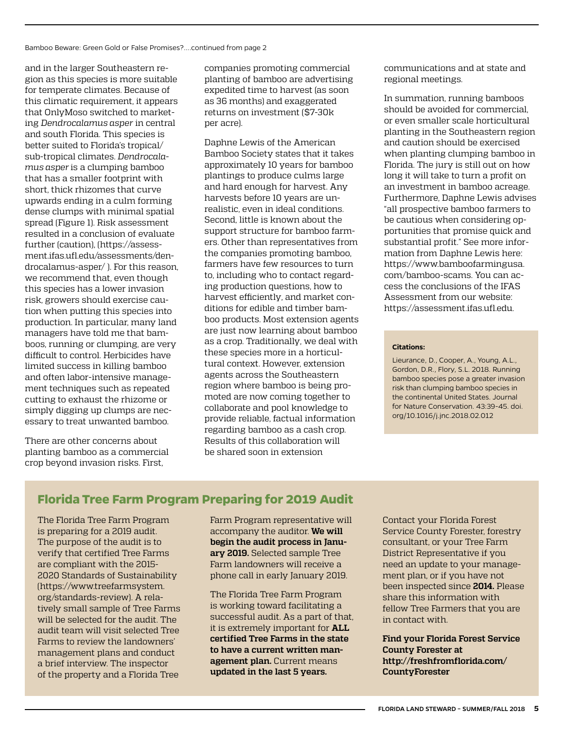<span id="page-4-0"></span>and in the larger Southeastern region as this species is more suitable for temperate climates. Because of this climatic requirement, it appears that OnlyMoso switched to marketing *Dendrocalamus asper* in central and south Florida. This species is better suited to Florida's tropical/ sub-tropical climates. *Dendrocalamus asper* is a clumping bamboo that has a smaller footprint with short, thick rhizomes that curve upwards ending in a culm forming dense clumps with minimal spatial spread (Figure 1). Risk assessment resulted in a conclusion of evaluate further (caution), (https://assessment.ifas.ufl.edu/assessments/dendrocalamus-asper/ ). For this reason, we recommend that, even though this species has a lower invasion risk, growers should exercise caution when putting this species into production. In particular, many land managers have told me that bamboos, running or clumping, are very difficult to control. Herbicides have limited success in killing bamboo and often labor-intensive management techniques such as repeated cutting to exhaust the rhizome or simply digging up clumps are necessary to treat unwanted bamboo.

There are other concerns about planting bamboo as a commercial crop beyond invasion risks. First,

companies promoting commercial planting of bamboo are advertising expedited time to harvest (as soon as 36 months) and exaggerated returns on investment (\$7-30k per acre).

Daphne Lewis of the American Bamboo Society states that it takes approximately 10 years for bamboo plantings to produce culms large and hard enough for harvest. Any harvests before 10 years are unrealistic, even in ideal conditions. Second, little is known about the support structure for bamboo farmers. Other than representatives from the companies promoting bamboo, farmers have few resources to turn to, including who to contact regarding production questions, how to harvest efficiently, and market conditions for edible and timber bamboo products. Most extension agents are just now learning about bamboo as a crop. Traditionally, we deal with these species more in a horticultural context. However, extension agents across the Southeastern region where bamboo is being promoted are now coming together to collaborate and pool knowledge to provide reliable, factual information regarding bamboo as a cash crop. Results of this collaboration will be shared soon in extension

communications and at state and regional meetings.

In summation, running bamboos should be avoided for commercial, or even smaller scale horticultural planting in the Southeastern region and caution should be exercised when planting clumping bamboo in Florida. The jury is still out on how long it will take to turn a profit on an investment in bamboo acreage. Furthermore, Daphne Lewis advises "all prospective bamboo farmers to be cautious when considering opportunities that promise quick and substantial profit." See more information from Daphne Lewis here: https://www.bamboofarmingusa. com/bamboo-scams. You can access the conclusions of the IFAS Assessment from our website: https://assessment.ifas.ufl.edu.

#### **Citations:**

Lieurance, D., Cooper, A., Young, A.L., Gordon, D.R., Flory, S.L. 2018. Running bamboo species pose a greater invasion risk than clumping bamboo species in the continental United States. Journal for Nature Conservation. 43:39-45. doi. org/10.1016/j.jnc.2018.02.012

# **Florida Tree Farm Program Preparing for 2019 Audit**

The Florida Tree Farm Program is preparing for a 2019 audit. The purpose of the audit is to verify that certified Tree Farms are compliant with the 2015- 2020 Standards of Sustainability [\(https://www.treefarmsystem.](https://www.treefarmsystem.org/standards-review) [org/standards-review](https://www.treefarmsystem.org/standards-review)). A relatively small sample of Tree Farms will be selected for the audit. The audit team will visit selected Tree Farms to review the landowners' management plans and conduct a brief interview. The inspector of the property and a Florida Tree

Farm Program representative will accompany the auditor. **We will begin the audit process in January 2019.** Selected sample Tree Farm landowners will receive a phone call in early January 2019.

The Florida Tree Farm Program is working toward facilitating a successful audit. As a part of that, it is extremely important for **ALL certified Tree Farms in the state to have a current written management plan.** Current means **updated in the last 5 years.**

Contact your Florida Forest Service County Forester, forestry consultant, or your Tree Farm District Representative if you need an update to your management plan, or if you have not been inspected since **2014.** Please share this information with fellow Tree Farmers that you are in contact with.

**Find your Florida Forest Service County Forester at [http://freshfromflorida.com/](http://freshfromflorida.com/CountyForester) [CountyForester](http://freshfromflorida.com/CountyForester)**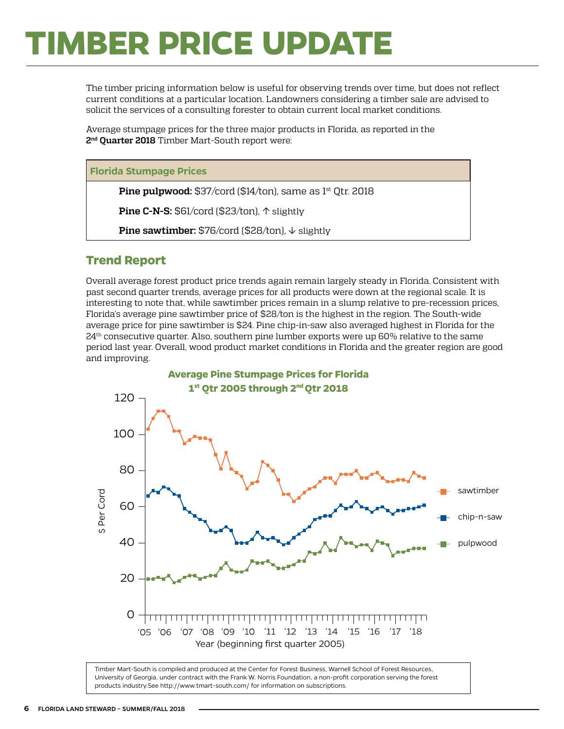# <span id="page-5-0"></span>**TIMBER PRICE UPDATE**

The timber pricing information below is useful for observing trends over time, but does not reflect current conditions at a particular location. Landowners considering a timber sale are advised to solicit the services of a consulting forester to obtain current local market conditions.

Average stumpage prices for the three major products in Florida, as reported in the **2nd Quarter 2018** Timber Mart-South report were:

#### **Florida Stumpage Prices**

**Pine pulpwood:** \$37/cord (\$14/ton), same as 1<sup>st</sup> Qtr. 2018

**Pine C-N-S:** \$61/cord (\$23/ton), ↑ slightly

**Pine sawtimber:** \$76/cord (\$28/ton), ↓ slightly

### **Trend Report**

Overall average forest product price trends again remain largely steady in Florida. Consistent with past second quarter trends, average prices for all products were down at the regional scale. It is interesting to note that, while sawtimber prices remain in a slump relative to pre-recession prices, Florida's average pine sawtimber price of \$28/ton is the highest in the region. The South-wide average price for pine sawtimber is \$24. Pine chip-in-saw also averaged highest in Florida for the  $24<sup>th</sup>$  consecutive quarter. Also, southern pine lumber exports were up 60% relative to the same period last year. Overall, wood product market conditions in Florida and the greater region are good and improving.



Timber Mart-South is compiled and produced at the Center for Forest Business, Warnell School of Forest Resources, University of Georgia, under contract with the Frank W. Norris Foundation, a non-profit corporation serving the forest products industry.See<http://www.tmart-south.com/>for information on subscriptions.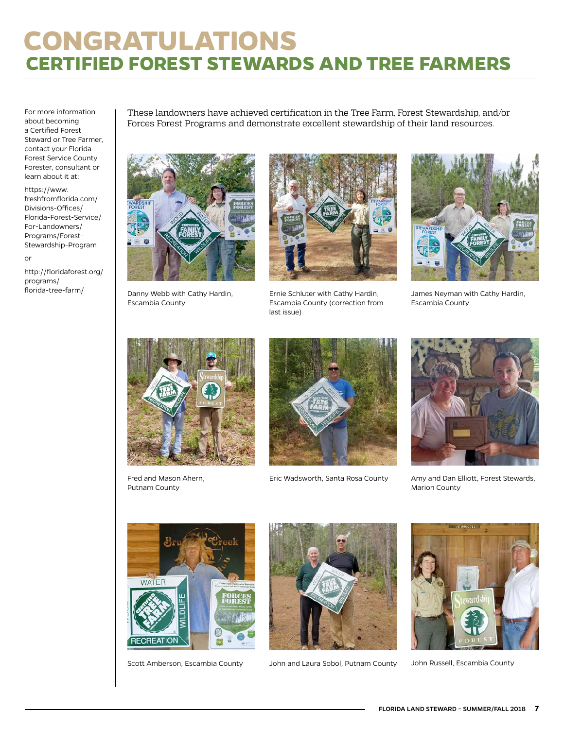# <span id="page-6-0"></span>**CONGRATULATIONS CERTIFIED FOREST STEWARDS AND TREE FARMERS**

For more information about becoming a Certified Forest Steward or Tree Farmer, contact your Florida Forest Service County Forester, consultant or learn about it at:

[https://www.](https://www.freshfromflorida.com/Divisions-Offices/Florida-Forest-Service/For-Landowners/Programs/Forest-Stewardship-Program) [freshfromflorida.com/](https://www.freshfromflorida.com/Divisions-Offices/Florida-Forest-Service/For-Landowners/Programs/Forest-Stewardship-Program) [Divisions-Offices/](https://www.freshfromflorida.com/Divisions-Offices/Florida-Forest-Service/For-Landowners/Programs/Forest-Stewardship-Program) [Florida-Forest-Service/](https://www.freshfromflorida.com/Divisions-Offices/Florida-Forest-Service/For-Landowners/Programs/Forest-Stewardship-Program) [For-Landowners/](https://www.freshfromflorida.com/Divisions-Offices/Florida-Forest-Service/For-Landowners/Programs/Forest-Stewardship-Program) [Programs/Forest-](https://www.freshfromflorida.com/Divisions-Offices/Florida-Forest-Service/For-Landowners/Programs/Forest-Stewardship-Program)[Stewardship-Program](https://www.freshfromflorida.com/Divisions-Offices/Florida-Forest-Service/For-Landowners/Programs/Forest-Stewardship-Program)

or

[http://floridaforest.org/](http://floridaforest.org/programs/florida-tree-farm/) [programs/](http://floridaforest.org/programs/florida-tree-farm/)

These landowners have achieved certification in the Tree Farm, Forest Stewardship, and/or Forces Forest Programs and demonstrate excellent stewardship of their land resources.



[florida-tree-farm/](http://floridaforest.org/programs/florida-tree-farm/) Danny Webb with Cathy Hardin, Escambia County



Ernie Schluter with Cathy Hardin, Escambia County (correction from last issue)



James Neyman with Cathy Hardin, Escambia County



Fred and Mason Ahern, Putnam County



Eric Wadsworth, Santa Rosa County



Amy and Dan Elliott, Forest Stewards, Marion County





Scott Amberson, Escambia County John and Laura Sobol, Putnam County John Russell, Escambia County